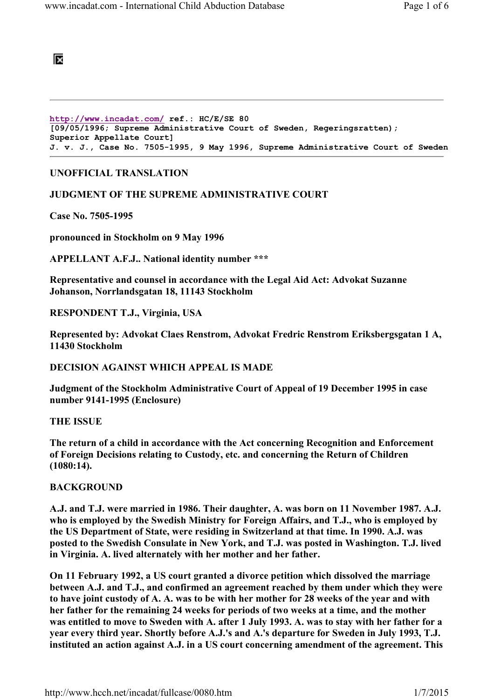# 阪

```
http://www.incadat.com/ ref.: HC/E/SE 80 
[09/05/1996; Supreme Administrative Court of Sweden, Regeringsratten); 
Superior Appellate Court] 
J. v. J., Case No. 7505-1995, 9 May 1996, Supreme Administrative Court of Sweden
```
## UNOFFICIAL TRANSLATION

### JUDGMENT OF THE SUPREME ADMINISTRATIVE COURT

Case No. 7505-1995

pronounced in Stockholm on 9 May 1996

APPELLANT A.F.J.. National identity number \*\*\*

Representative and counsel in accordance with the Legal Aid Act: Advokat Suzanne Johanson, Norrlandsgatan 18, 11143 Stockholm

#### RESPONDENT T.J., Virginia, USA

Represented by: Advokat Claes Renstrom, Advokat Fredric Renstrom Eriksbergsgatan 1 A, 11430 Stockholm

### DECISION AGAINST WHICH APPEAL IS MADE

Judgment of the Stockholm Administrative Court of Appeal of 19 December 1995 in case number 9141-1995 (Enclosure)

THE ISSUE

The return of a child in accordance with the Act concerning Recognition and Enforcement of Foreign Decisions relating to Custody, etc. and concerning the Return of Children (1080:14).

### **BACKGROUND**

A.J. and T.J. were married in 1986. Their daughter, A. was born on 11 November 1987. A.J. who is employed by the Swedish Ministry for Foreign Affairs, and T.J., who is employed by the US Department of State, were residing in Switzerland at that time. In 1990. A.J. was posted to the Swedish Consulate in New York, and T.J. was posted in Washington. T.J. lived in Virginia. A. lived alternately with her mother and her father.

On 11 February 1992, a US court granted a divorce petition which dissolved the marriage between A.J. and T.J., and confirmed an agreement reached by them under which they were to have joint custody of A. A. was to be with her mother for 28 weeks of the year and with her father for the remaining 24 weeks for periods of two weeks at a time, and the mother was entitled to move to Sweden with A. after 1 July 1993. A. was to stay with her father for a year every third year. Shortly before A.J.'s and A.'s departure for Sweden in July 1993, T.J. instituted an action against A.J. in a US court concerning amendment of the agreement. This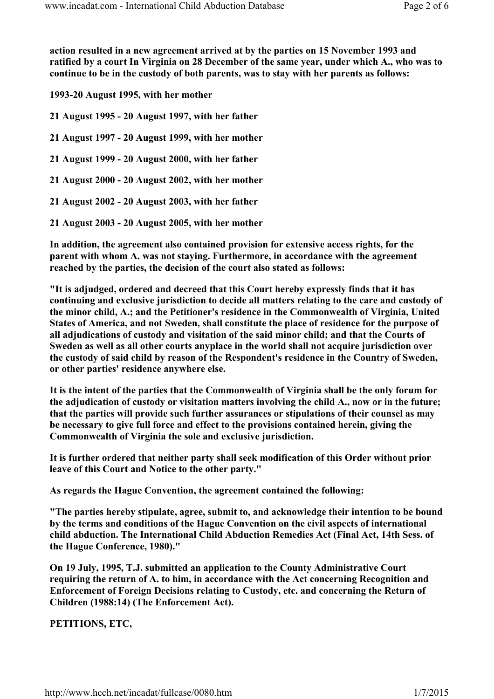action resulted in a new agreement arrived at by the parties on 15 November 1993 and ratified by a court In Virginia on 28 December of the same year, under which A., who was to continue to be in the custody of both parents, was to stay with her parents as follows:

1993-20 August 1995, with her mother

21 August 1995 - 20 August 1997, with her father

21 August 1997 - 20 August 1999, with her mother

21 August 1999 - 20 August 2000, with her father

21 August 2000 - 20 August 2002, with her mother

21 August 2002 - 20 August 2003, with her father

21 August 2003 - 20 August 2005, with her mother

In addition, the agreement also contained provision for extensive access rights, for the parent with whom A. was not staying. Furthermore, in accordance with the agreement reached by the parties, the decision of the court also stated as follows:

"It is adjudged, ordered and decreed that this Court hereby expressly finds that it has continuing and exclusive jurisdiction to decide all matters relating to the care and custody of the minor child, A.; and the Petitioner's residence in the Commonwealth of Virginia, United States of America, and not Sweden, shall constitute the place of residence for the purpose of all adjudications of custody and visitation of the said minor child; and that the Courts of Sweden as well as all other courts anyplace in the world shall not acquire jurisdiction over the custody of said child by reason of the Respondent's residence in the Country of Sweden, or other parties' residence anywhere else.

It is the intent of the parties that the Commonwealth of Virginia shall be the only forum for the adjudication of custody or visitation matters involving the child A., now or in the future; that the parties will provide such further assurances or stipulations of their counsel as may be necessary to give full force and effect to the provisions contained herein, giving the Commonwealth of Virginia the sole and exclusive jurisdiction.

It is further ordered that neither party shall seek modification of this Order without prior leave of this Court and Notice to the other party."

As regards the Hague Convention, the agreement contained the following:

"The parties hereby stipulate, agree, submit to, and acknowledge their intention to be bound by the terms and conditions of the Hague Convention on the civil aspects of international child abduction. The International Child Abduction Remedies Act (Final Act, 14th Sess. of the Hague Conference, 1980)."

On 19 July, 1995, T.J. submitted an application to the County Administrative Court requiring the return of A. to him, in accordance with the Act concerning Recognition and Enforcement of Foreign Decisions relating to Custody, etc. and concerning the Return of Children (1988:14) (The Enforcement Act).

PETITIONS, ETC,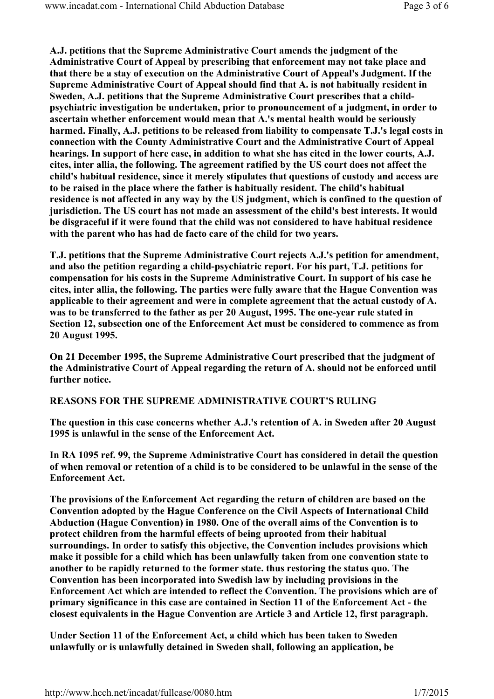A.J. petitions that the Supreme Administrative Court amends the judgment of the Administrative Court of Appeal by prescribing that enforcement may not take place and that there be a stay of execution on the Administrative Court of Appeal's Judgment. If the Supreme Administrative Court of Appeal should find that A. is not habitually resident in Sweden, A.J. petitions that the Supreme Administrative Court prescribes that a childpsychiatric investigation be undertaken, prior to pronouncement of a judgment, in order to ascertain whether enforcement would mean that A.'s mental health would be seriously harmed. Finally, A.J. petitions to be released from liability to compensate T.J.'s legal costs in connection with the County Administrative Court and the Administrative Court of Appeal hearings. In support of here case, in addition to what she has cited in the lower courts, A.J. cites, inter allia, the following. The agreement ratified by the US court does not affect the child's habitual residence, since it merely stipulates that questions of custody and access are to be raised in the place where the father is habitually resident. The child's habitual residence is not affected in any way by the US judgment, which is confined to the question of jurisdiction. The US court has not made an assessment of the child's best interests. It would be disgraceful if it were found that the child was not considered to have habitual residence with the parent who has had de facto care of the child for two years.

T.J. petitions that the Supreme Administrative Court rejects A.J.'s petition for amendment, and also the petition regarding a child-psychiatric report. For his part, T.J. petitions for compensation for his costs in the Supreme Administrative Court. In support of his case he cites, inter allia, the following. The parties were fully aware that the Hague Convention was applicable to their agreement and were in complete agreement that the actual custody of A. was to be transferred to the father as per 20 August, 1995. The one-year rule stated in Section 12, subsection one of the Enforcement Act must be considered to commence as from 20 August 1995.

On 21 December 1995, the Supreme Administrative Court prescribed that the judgment of the Administrative Court of Appeal regarding the return of A. should not be enforced until further notice.

### REASONS FOR THE SUPREME ADMINISTRATIVE COURT'S RULING

The question in this case concerns whether A.J.'s retention of A. in Sweden after 20 August 1995 is unlawful in the sense of the Enforcement Act.

In RA 1095 ref. 99, the Supreme Administrative Court has considered in detail the question of when removal or retention of a child is to be considered to be unlawful in the sense of the Enforcement Act.

The provisions of the Enforcement Act regarding the return of children are based on the Convention adopted by the Hague Conference on the Civil Aspects of International Child Abduction (Hague Convention) in 1980. One of the overall aims of the Convention is to protect children from the harmful effects of being uprooted from their habitual surroundings. In order to satisfy this objective, the Convention includes provisions which make it possible for a child which has been unlawfully taken from one convention state to another to be rapidly returned to the former state. thus restoring the status quo. The Convention has been incorporated into Swedish law by including provisions in the Enforcement Act which are intended to reflect the Convention. The provisions which are of primary significance in this case are contained in Section 11 of the Enforcement Act - the closest equivalents in the Hague Convention are Article 3 and Article 12, first paragraph.

Under Section 11 of the Enforcement Act, a child which has been taken to Sweden unlawfully or is unlawfully detained in Sweden shall, following an application, be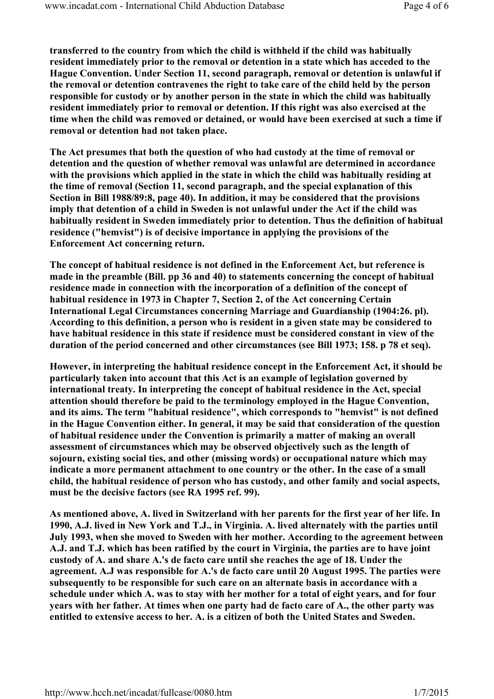transferred to the country from which the child is withheld if the child was habitually resident immediately prior to the removal or detention in a state which has acceded to the Hague Convention. Under Section 11, second paragraph, removal or detention is unlawful if the removal or detention contravenes the right to take care of the child held by the person responsible for custody or by another person in the state in which the child was habitually resident immediately prior to removal or detention. If this right was also exercised at the time when the child was removed or detained, or would have been exercised at such a time if removal or detention had not taken place.

The Act presumes that both the question of who had custody at the time of removal or detention and the question of whether removal was unlawful are determined in accordance with the provisions which applied in the state in which the child was habitually residing at the time of removal (Section 11, second paragraph, and the special explanation of this Section in Bill 1988/89:8, page 40). In addition, it may be considered that the provisions imply that detention of a child in Sweden is not unlawful under the Act if the child was habitually resident in Sweden immediately prior to detention. Thus the definition of habitual residence ("hemvist") is of decisive importance in applying the provisions of the Enforcement Act concerning return.

The concept of habitual residence is not defined in the Enforcement Act, but reference is made in the preamble (Bill. pp 36 and 40) to statements concerning the concept of habitual residence made in connection with the incorporation of a definition of the concept of habitual residence in 1973 in Chapter 7, Section 2, of the Act concerning Certain International Legal Circumstances concerning Marriage and Guardianship (1904:26. pl). According to this definition, a person who is resident in a given state may be considered to have habitual residence in this state if residence must be considered constant in view of the duration of the period concerned and other circumstances (see Bill 1973; 158. p 78 et seq).

However, in interpreting the habitual residence concept in the Enforcement Act, it should be particularly taken into account that this Act is an example of legislation governed by international treaty. In interpreting the concept of habitual residence in the Act, special attention should therefore be paid to the terminology employed in the Hague Convention, and its aims. The term "habitual residence", which corresponds to "hemvist" is not defined in the Hague Convention either. In general, it may be said that consideration of the question of habitual residence under the Convention is primarily a matter of making an overall assessment of circumstances which may be observed objectively such as the length of sojourn, existing social ties, and other (missing words) or occupational nature which may indicate a more permanent attachment to one country or the other. In the case of a small child, the habitual residence of person who has custody, and other family and social aspects, must be the decisive factors (see RA 1995 ref. 99).

As mentioned above, A. lived in Switzerland with her parents for the first year of her life. In 1990, A.J. lived in New York and T.J., in Virginia. A. lived alternately with the parties until July 1993, when she moved to Sweden with her mother. According to the agreement between A.J. and T.J. which has been ratified by the court in Virginia, the parties are to have joint custody of A. and share A.'s de facto care until she reaches the age of 18. Under the agreement. A.J was responsible for A.'s de facto care until 20 August 1995. The parties were subsequently to be responsible for such care on an alternate basis in accordance with a schedule under which A. was to stay with her mother for a total of eight years, and for four years with her father. At times when one party had de facto care of A., the other party was entitled to extensive access to her. A. is a citizen of both the United States and Sweden.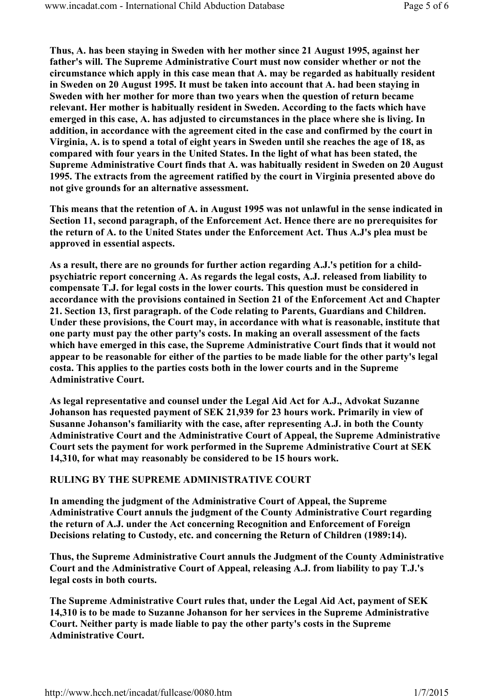Thus, A. has been staying in Sweden with her mother since 21 August 1995, against her father's will. The Supreme Administrative Court must now consider whether or not the circumstance which apply in this case mean that A. may be regarded as habitually resident in Sweden on 20 August 1995. It must be taken into account that A. had been staying in Sweden with her mother for more than two years when the question of return became relevant. Her mother is habitually resident in Sweden. According to the facts which have emerged in this case, A. has adjusted to circumstances in the place where she is living. In addition, in accordance with the agreement cited in the case and confirmed by the court in Virginia, A. is to spend a total of eight years in Sweden until she reaches the age of 18, as compared with four years in the United States. In the light of what has been stated, the Supreme Administrative Court finds that A. was habitually resident in Sweden on 20 August 1995. The extracts from the agreement ratified by the court in Virginia presented above do not give grounds for an alternative assessment.

This means that the retention of A. in August 1995 was not unlawful in the sense indicated in Section 11, second paragraph, of the Enforcement Act. Hence there are no prerequisites for the return of A. to the United States under the Enforcement Act. Thus A.J's plea must be approved in essential aspects.

As a result, there are no grounds for further action regarding A.J.'s petition for a childpsychiatric report concerning A. As regards the legal costs, A.J. released from liability to compensate T.J. for legal costs in the lower courts. This question must be considered in accordance with the provisions contained in Section 21 of the Enforcement Act and Chapter 21. Section 13, first paragraph. of the Code relating to Parents, Guardians and Children. Under these provisions, the Court may, in accordance with what is reasonable, institute that one party must pay the other party's costs. In making an overall assessment of the facts which have emerged in this case, the Supreme Administrative Court finds that it would not appear to be reasonable for either of the parties to be made liable for the other party's legal costa. This applies to the parties costs both in the lower courts and in the Supreme Administrative Court.

As legal representative and counsel under the Legal Aid Act for A.J., Advokat Suzanne Johanson has requested payment of SEK 21,939 for 23 hours work. Primarily in view of Susanne Johanson's familiarity with the case, after representing A.J. in both the County Administrative Court and the Administrative Court of Appeal, the Supreme Administrative Court sets the payment for work performed in the Supreme Administrative Court at SEK 14,310, for what may reasonably be considered to be 15 hours work.

### RULING BY THE SUPREME ADMINISTRATIVE COURT

In amending the judgment of the Administrative Court of Appeal, the Supreme Administrative Court annuls the judgment of the County Administrative Court regarding the return of A.J. under the Act concerning Recognition and Enforcement of Foreign Decisions relating to Custody, etc. and concerning the Return of Children (1989:14).

Thus, the Supreme Administrative Court annuls the Judgment of the County Administrative Court and the Administrative Court of Appeal, releasing A.J. from liability to pay T.J.'s legal costs in both courts.

The Supreme Administrative Court rules that, under the Legal Aid Act, payment of SEK 14,310 is to be made to Suzanne Johanson for her services in the Supreme Administrative Court. Neither party is made liable to pay the other party's costs in the Supreme Administrative Court.